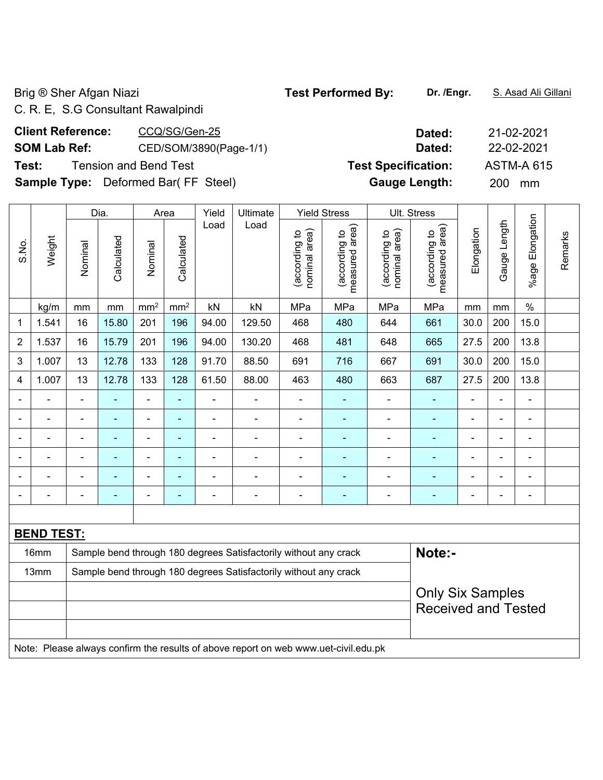Brig ® Sher Afgan Niazi **Test Performed By:** Dr. /Engr. **S. Asad Ali Gillani** 

**Test Specification:** ASTM-A 615 **Gauge Length:** 200 mm

**Client Reference:** CCQ/SG/Gen-25 **Dated:** 21-02-2021 **SOM Lab Ref:** CED/SOM/3890(Page-1/1) **Dated:** 22-02-2021

C. R. E, S.G Consultant Rawalpindi

| <b>Client Reference:</b> | CCQ/SG/Gen-25                              |
|--------------------------|--------------------------------------------|
| <b>SOM Lab Ref:</b>      | CED/SOM/3890(Page-1/1)                     |
|                          | <b>Test:</b> Tension and Bend Test         |
|                          | <b>Sample Type:</b> Deformed Bar(FF Steel) |

|                |                                                                                     |                          | Dia.       |                 | Area                     | Yield          | Ultimate                                                         |                                | <b>Yield Stress</b>             |                                | Ult. Stress                     |                |                |                          |         |
|----------------|-------------------------------------------------------------------------------------|--------------------------|------------|-----------------|--------------------------|----------------|------------------------------------------------------------------|--------------------------------|---------------------------------|--------------------------------|---------------------------------|----------------|----------------|--------------------------|---------|
| S.No.          | Weight                                                                              | Nominal                  | Calculated | Nominal         | Calculated               | Load           | Load                                                             | nominal area)<br>(according to | (according to<br>measured area) | nominal area)<br>(according to | measured area)<br>(according to | Elongation     | Gauge Length   | <b>%age Elongation</b>   | Remarks |
|                | kg/m                                                                                | mm                       | mm         | mm <sup>2</sup> | mm <sup>2</sup>          | kN             | kN                                                               | MPa                            | MPa                             | MPa                            | MPa                             | mm             | mm             | $\%$                     |         |
| $\mathbf 1$    | 1.541                                                                               | 16                       | 15.80      | 201             | 196                      | 94.00          | 129.50                                                           | 468                            | 480                             | 644                            | 661                             | 30.0           | 200            | 15.0                     |         |
| $\overline{2}$ | 1.537                                                                               | 16                       | 15.79      | 201             | 196                      | 94.00          | 130.20                                                           | 468                            | 481                             | 648                            | 665                             | 27.5           | 200            | 13.8                     |         |
| 3              | 1.007                                                                               | 13                       | 12.78      | 133             | 128                      | 91.70          | 88.50                                                            | 691                            | 716                             | 667                            | 691                             | 30.0           | 200            | 15.0                     |         |
| 4              | 1.007                                                                               | 13                       | 12.78      | 133             | 128                      | 61.50          | 88.00                                                            | 463                            | 480                             | 663                            | 687                             | 27.5           | 200            | 13.8                     |         |
| $\blacksquare$ | $\blacksquare$                                                                      | $\blacksquare$           | ÷,         | ÷,              | ÷                        | $\blacksquare$ | $\blacksquare$                                                   | $\blacksquare$                 | ÷,                              | $\blacksquare$                 | $\blacksquare$                  | $\blacksquare$ | $\blacksquare$ | ÷,                       |         |
|                | ä,                                                                                  | ÷,                       | ÷,         | ÷,              | ÷                        | ÷,             | $\blacksquare$                                                   | $\blacksquare$                 | ÷,                              | ÷,                             | ÷,                              | $\blacksquare$ | $\overline{a}$ | ÷,                       |         |
|                |                                                                                     |                          | L.         | $\blacksquare$  | $\overline{\phantom{a}}$ |                | ä,                                                               | $\blacksquare$                 | L.                              | $\blacksquare$                 | $\sim$                          |                | L,             | $\blacksquare$           |         |
| $\blacksquare$ |                                                                                     | $\overline{\phantom{a}}$ | ÷          | $\blacksquare$  | ä,                       | $\blacksquare$ | ä,                                                               | $\blacksquare$                 |                                 |                                |                                 |                | L,             | $\blacksquare$           |         |
|                |                                                                                     |                          | ä,         | $\blacksquare$  | ÷                        | $\blacksquare$ | Ē,                                                               | $\blacksquare$                 |                                 | $\blacksquare$                 |                                 |                | ä,             | $\overline{\phantom{a}}$ |         |
| $\blacksquare$ |                                                                                     | $\overline{\phantom{0}}$ | -          | $\overline{a}$  | $\overline{\phantom{a}}$ | $\blacksquare$ | $\blacksquare$                                                   | $\qquad \qquad \blacksquare$   | $\blacksquare$                  | $\blacksquare$                 | $\overline{\phantom{a}}$        | $\blacksquare$ | L,             | $\overline{\phantom{a}}$ |         |
|                |                                                                                     |                          |            |                 |                          |                |                                                                  |                                |                                 |                                |                                 |                |                |                          |         |
|                | <b>BEND TEST:</b>                                                                   |                          |            |                 |                          |                |                                                                  |                                |                                 |                                |                                 |                |                |                          |         |
|                | 16mm                                                                                |                          |            |                 |                          |                | Sample bend through 180 degrees Satisfactorily without any crack |                                |                                 |                                | Note:-                          |                |                |                          |         |
|                | 13mm                                                                                |                          |            |                 |                          |                | Sample bend through 180 degrees Satisfactorily without any crack |                                |                                 |                                |                                 |                |                |                          |         |
|                |                                                                                     |                          |            |                 |                          |                |                                                                  |                                |                                 |                                | <b>Only Six Samples</b>         |                |                |                          |         |
|                |                                                                                     |                          |            |                 |                          |                |                                                                  |                                |                                 |                                | <b>Received and Tested</b>      |                |                |                          |         |
|                |                                                                                     |                          |            |                 |                          |                |                                                                  |                                |                                 |                                |                                 |                |                |                          |         |
|                | Note: Please always confirm the results of above report on web www.uet-civil.edu.pk |                          |            |                 |                          |                |                                                                  |                                |                                 |                                |                                 |                |                |                          |         |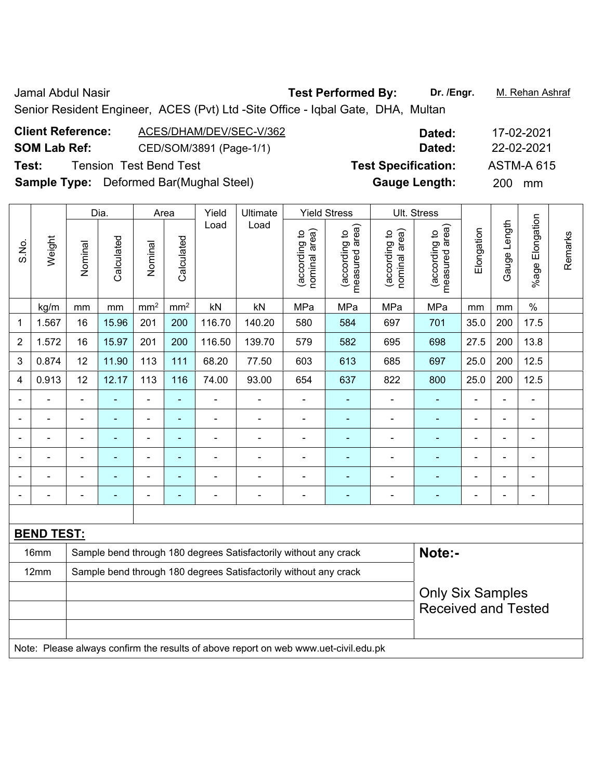Jamal Abdul Nasir **Test Performed By: Dr. /Engr.** M. Rehan Ashraf Senior Resident Engineer, ACES (Pvt) Ltd -Site Office - Iqbal Gate, DHA, Multan

| <b>Client Reference:</b> | ACES/DHAM/DEV/SEC-V/362                        | Dated:                     | 17-02-2021        |
|--------------------------|------------------------------------------------|----------------------------|-------------------|
| <b>SOM Lab Ref:</b>      | CED/SOM/3891 (Page-1/1)                        | Dated:                     | 22-02-2021        |
| Test:                    | <b>Tension Test Bend Test</b>                  | <b>Test Specification:</b> | <b>ASTM-A 615</b> |
|                          | <b>Sample Type:</b> Deformed Bar(Mughal Steel) | <b>Gauge Length:</b>       | <b>200</b><br>mm  |

|                |                   |                | Dia.           |                          | Area            | Yield          | Ultimate                                                         |                                | <b>Yield Stress</b>             |                                | Ult. Stress                     |                |                |                 |         |
|----------------|-------------------|----------------|----------------|--------------------------|-----------------|----------------|------------------------------------------------------------------|--------------------------------|---------------------------------|--------------------------------|---------------------------------|----------------|----------------|-----------------|---------|
| S.No.          | Weight            | Nominal        | Calculated     | Nominal                  | Calculated      | Load           | Load                                                             | nominal area)<br>(according to | measured area)<br>(according to | nominal area)<br>(according to | measured area)<br>(according to | Elongation     | Gauge Length   | %age Elongation | Remarks |
|                | kg/m              | mm             | mm             | mm <sup>2</sup>          | mm <sup>2</sup> | kN             | kN                                                               | MPa                            | MPa                             | MPa                            | MPa                             | mm             | mm             | $\%$            |         |
| 1              | 1.567             | 16             | 15.96          | 201                      | 200             | 116.70         | 140.20                                                           | 580                            | 584                             | 697                            | 701                             | 35.0           | 200            | 17.5            |         |
| $\overline{2}$ | 1.572             | 16             | 15.97          | 201                      | 200             | 116.50         | 139.70                                                           | 579                            | 582                             | 695                            | 698                             | 27.5           | 200            | 13.8            |         |
| 3              | 0.874             | 12             | 11.90          | 113                      | 111             | 68.20          | 77.50                                                            | 603                            | 613                             | 685                            | 697                             | 25.0           | 200            | 12.5            |         |
| 4              | 0.913             | 12             | 12.17          | 113                      | 116             | 74.00          | 93.00                                                            | 654                            | 637                             | 822                            | 800                             | 25.0           | 200            | 12.5            |         |
| ٠              | $\blacksquare$    | $\blacksquare$ | $\blacksquare$ | $\overline{\phantom{a}}$ | $\blacksquare$  |                | $\blacksquare$                                                   | $\blacksquare$                 |                                 |                                | ۰                               | $\blacksquare$ | $\blacksquare$ | $\blacksquare$  |         |
|                | $\blacksquare$    | $\blacksquare$ | $\blacksquare$ | $\overline{\phantom{a}}$ | $\blacksquare$  | $\blacksquare$ | $\blacksquare$                                                   | $\blacksquare$                 | $\overline{\phantom{a}}$        | $\blacksquare$                 | ۰                               | $\blacksquare$ | $\blacksquare$ | $\blacksquare$  |         |
|                |                   |                |                |                          |                 |                |                                                                  | $\overline{\phantom{0}}$       |                                 |                                |                                 |                |                | $\blacksquare$  |         |
| ۰              | $\blacksquare$    | $\blacksquare$ | $\blacksquare$ | $\overline{\phantom{a}}$ | $\blacksquare$  | $\blacksquare$ | $\overline{\phantom{0}}$                                         | $\blacksquare$                 | ۰                               | $\blacksquare$                 | ۰                               | $\blacksquare$ | L,             | $\blacksquare$  |         |
|                | ÷                 |                | $\blacksquare$ | $\overline{\phantom{a}}$ | $\blacksquare$  |                | $\blacksquare$                                                   | $\overline{a}$                 | ۰                               | ۰                              | ۰                               |                | Ē,             | $\blacksquare$  |         |
|                |                   |                |                | ۰                        | $\blacksquare$  |                | $\blacksquare$                                                   | $\blacksquare$                 |                                 | ۰                              | ۰                               |                | ÷              | $\blacksquare$  |         |
|                |                   |                |                |                          |                 |                |                                                                  |                                |                                 |                                |                                 |                |                |                 |         |
|                | <b>BEND TEST:</b> |                |                |                          |                 |                |                                                                  |                                |                                 |                                |                                 |                |                |                 |         |
|                | 16mm              |                |                |                          |                 |                | Sample bend through 180 degrees Satisfactorily without any crack |                                |                                 |                                | Note:-                          |                |                |                 |         |
|                | 12mm              |                |                |                          |                 |                | Sample bend through 180 degrees Satisfactorily without any crack |                                |                                 |                                |                                 |                |                |                 |         |
|                |                   |                |                |                          |                 |                |                                                                  |                                |                                 |                                | <b>Only Six Samples</b>         |                |                |                 |         |
|                |                   |                |                |                          |                 |                |                                                                  |                                |                                 |                                | <b>Received and Tested</b>      |                |                |                 |         |
|                |                   |                |                |                          |                 |                |                                                                  |                                |                                 |                                |                                 |                |                |                 |         |

Note: Please always confirm the results of above report on web www.uet-civil.edu.pk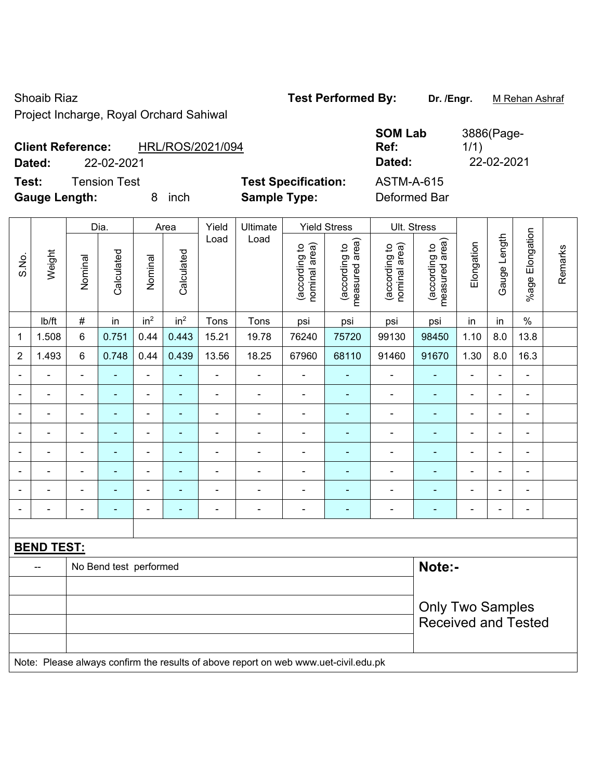Shoaib Riaz **Test Performed By:** Dr. /Engr. M Rehan Ashraf Project Incharge, Royal Orchard Sahiwal

| <b>Client Reference:</b> | HRL/ROS/2021/094 |
|--------------------------|------------------|
|--------------------------|------------------|

Test: Tension Test **Test Specification:** AS **Gauge Length:** 8 inch **Sample Type:** Deformed Bar

|                          |                     |                            | <b>SOM Lab</b> | 3886(Page- |
|--------------------------|---------------------|----------------------------|----------------|------------|
| <b>Client Reference:</b> |                     | HRL/ROS/2021/094           | Ref:           | 1/1)       |
| Dated:                   | 22-02-2021          |                            | Dated:         | 22-02-2021 |
| Test:                    | <b>Tension Test</b> | <b>Test Specification:</b> | ASTM-A-615     |            |

|                              |                          |                          | Dia.                   |                          | Area            | Yield                                                                               | Ultimate                 |                                | <b>Yield Stress</b>             |                                | Ult. Stress                     |                |                |                          |         |  |  |
|------------------------------|--------------------------|--------------------------|------------------------|--------------------------|-----------------|-------------------------------------------------------------------------------------|--------------------------|--------------------------------|---------------------------------|--------------------------------|---------------------------------|----------------|----------------|--------------------------|---------|--|--|
| S.No.                        | Weight                   | Nominal                  | Calculated             | Nominal                  | Calculated      | Load                                                                                | Load                     | nominal area)<br>(according to | measured area)<br>(according to | nominal area)<br>(according to | (according to<br>measured area) | Elongation     | Gauge Length   | %age Elongation          | Remarks |  |  |
|                              | Ib/ft                    | $\#$                     | in                     | in <sup>2</sup>          | in <sup>2</sup> | Tons                                                                                | Tons                     | psi                            | psi                             | psi                            | psi                             | in             | in             | $\frac{0}{0}$            |         |  |  |
| 1                            | 1.508                    | 6                        | 0.751                  | 0.44                     | 0.443           | 15.21                                                                               | 19.78                    | 76240                          | 75720                           | 99130                          | 98450                           | 1.10           | 8.0            | 13.8                     |         |  |  |
| $\overline{2}$               | 1.493                    | 6                        | 0.748                  | 0.44                     | 0.439           | 13.56                                                                               | 18.25                    | 67960                          | 68110                           | 91460                          | 91670                           | 1.30           | 8.0            | 16.3                     |         |  |  |
|                              |                          | ۰                        | $\blacksquare$         |                          | $\blacksquare$  | $\blacksquare$                                                                      | $\blacksquare$           | $\blacksquare$                 | $\blacksquare$                  |                                | $\blacksquare$                  |                | $\blacksquare$ |                          |         |  |  |
|                              |                          | $\blacksquare$           | ÷                      | $\blacksquare$           |                 | $\blacksquare$                                                                      |                          | Ē,                             |                                 | $\blacksquare$                 | $\blacksquare$                  |                | $\blacksquare$ |                          |         |  |  |
| $\blacksquare$               | ۰                        | $\overline{\phantom{0}}$ | ۰                      | $\overline{\phantom{0}}$ | $\blacksquare$  | ۰                                                                                   | $\blacksquare$           | $\overline{\phantom{0}}$       | ٠                               | ۰                              | $\blacksquare$                  | $\blacksquare$ | $\blacksquare$ | $\blacksquare$           |         |  |  |
| $\blacksquare$               | $\overline{\phantom{0}}$ | $\blacksquare$           | ÷                      | $\overline{a}$           | ٠               | $\overline{a}$                                                                      | $\blacksquare$           | $\blacksquare$                 | $\blacksquare$                  | $\overline{\phantom{a}}$       | $\blacksquare$                  | $\blacksquare$ | $\blacksquare$ | $\overline{\phantom{a}}$ |         |  |  |
| $\qquad \qquad \blacksquare$ | $\blacksquare$           | $\blacksquare$           | ÷,                     | $\blacksquare$           | $\blacksquare$  | $\frac{1}{2}$                                                                       | $\overline{\phantom{0}}$ | $\blacksquare$                 | $\blacksquare$                  | $\qquad \qquad \blacksquare$   | $\blacksquare$                  | $\blacksquare$ | ä,             | $\blacksquare$           |         |  |  |
| $\blacksquare$               | ÷,                       | $\blacksquare$           | ÷,                     | ÷,                       | ÷,              | $\frac{1}{2}$                                                                       | ÷,                       | ÷,                             | ÷,                              | $\qquad \qquad \blacksquare$   | $\blacksquare$                  | $\blacksquare$ | $\blacksquare$ | $\blacksquare$           |         |  |  |
| $\blacksquare$               | $\blacksquare$           | $\blacksquare$           | ä,                     | $\blacksquare$           | Ξ               | ÷.                                                                                  | $\blacksquare$           | $\blacksquare$                 | $\blacksquare$                  | $\qquad \qquad \blacksquare$   | $\blacksquare$                  | $\blacksquare$ | $\blacksquare$ | $\overline{a}$           |         |  |  |
|                              | $\blacksquare$           | $\blacksquare$           | $\blacksquare$         | ÷                        | ÷,              | $\frac{1}{2}$                                                                       | ÷,                       | ÷,                             | ÷                               | $\qquad \qquad \blacksquare$   | $\blacksquare$                  | $\blacksquare$ | ä,             | $\blacksquare$           |         |  |  |
|                              |                          |                          |                        |                          |                 |                                                                                     |                          |                                |                                 |                                |                                 |                |                |                          |         |  |  |
|                              | <b>BEND TEST:</b>        |                          |                        |                          |                 |                                                                                     |                          |                                |                                 |                                |                                 |                |                |                          |         |  |  |
|                              | --                       |                          | No Bend test performed |                          |                 |                                                                                     |                          |                                |                                 |                                | Note:-                          |                |                |                          |         |  |  |
|                              |                          |                          |                        |                          |                 |                                                                                     |                          |                                |                                 |                                |                                 |                |                |                          |         |  |  |
|                              |                          |                          |                        |                          |                 |                                                                                     |                          |                                |                                 |                                | <b>Only Two Samples</b>         |                |                |                          |         |  |  |
|                              |                          |                          |                        |                          |                 |                                                                                     |                          |                                |                                 |                                | <b>Received and Tested</b>      |                |                |                          |         |  |  |
|                              |                          |                          |                        |                          |                 |                                                                                     |                          |                                |                                 |                                |                                 |                |                |                          |         |  |  |
|                              |                          |                          |                        |                          |                 | Note: Please always confirm the results of above report on web www.uet-civil.edu.pk |                          |                                |                                 |                                |                                 |                |                |                          |         |  |  |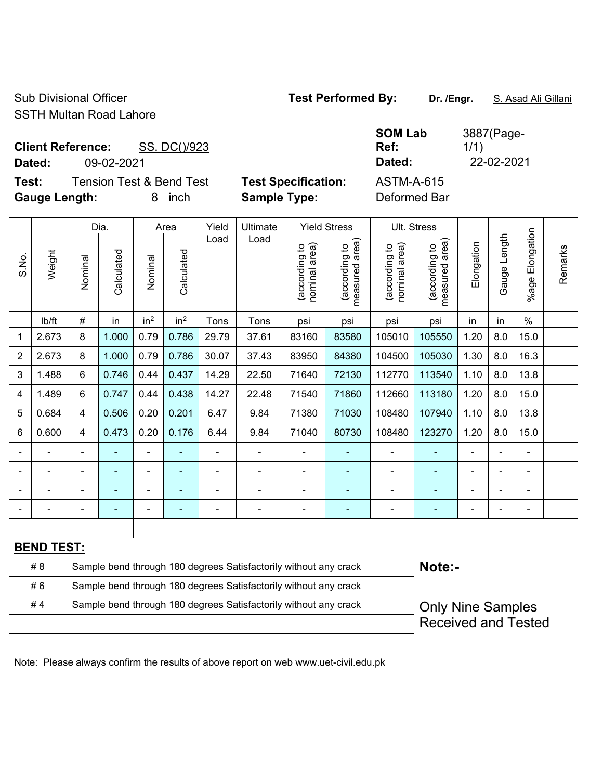Sub Divisional Officer **Test Performed By:** Dr. /Engr. **S. Asad Ali Gillani** SSTH Multan Road Lahore

Client Reference: SS. DC()/923

**Test:** Tension Test & Bend Test **Test Specification:** ASTM-A-615 **Gauge Length:** 8 inch **Sample Type:** Deformed Bar

**SOM Lab Ref:**  3887(Page-1/1) **Dated:** 09-02-2021 **Dated:** 22-02-2021

|                |                   |                                                                  | Dia.       |                 | Area            | Yield          | Ultimate                                                                            |                                | <b>Yield Stress</b>             |                                | Ult. Stress                     |                |                |                           |         |
|----------------|-------------------|------------------------------------------------------------------|------------|-----------------|-----------------|----------------|-------------------------------------------------------------------------------------|--------------------------------|---------------------------------|--------------------------------|---------------------------------|----------------|----------------|---------------------------|---------|
| S.No.          | Weight            | Nominal                                                          | Calculated | Nominal         | Calculated      | Load           | Load                                                                                | nominal area)<br>(according to | (according to<br>measured area) | (according to<br>nominal area) | (according to<br>measured area) | Elongation     | Gauge Length   | Elongation<br>$%$ age $ $ | Remarks |
|                | lb/ft             | $\#$                                                             | in         | in <sup>2</sup> | in <sup>2</sup> | Tons           | Tons                                                                                | psi                            | psi                             | psi                            | psi                             | in             | in             | $\%$                      |         |
| 1              | 2.673             | 8                                                                | 1.000      | 0.79            | 0.786           | 29.79          | 37.61                                                                               | 83160                          | 83580                           | 105010                         | 105550                          | 1.20           | 8.0            | 15.0                      |         |
| 2              | 2.673             | 8                                                                | 1.000      | 0.79            | 0.786           | 30.07          | 37.43                                                                               | 83950                          | 84380                           | 104500                         | 105030                          | 1.30           | 8.0            | 16.3                      |         |
| 3              | 1.488             | 6                                                                | 0.746      | 0.44            | 0.437           | 14.29          | 22.50                                                                               | 71640                          | 72130                           | 112770                         | 113540                          | 1.10           | 8.0            | 13.8                      |         |
| 4              | 1.489             | 6                                                                | 0.747      | 0.44            | 0.438           | 14.27          | 22.48                                                                               | 71540                          | 71860                           | 112660                         | 113180                          | 1.20           | 8.0            | 15.0                      |         |
| 5              | 0.684             | 4                                                                | 0.506      | 0.20            | 0.201           | 6.47           | 9.84                                                                                | 71380                          | 71030                           | 108480                         | 107940                          | 1.10           | 8.0            | 13.8                      |         |
| 6              | 0.600             | 4                                                                | 0.473      | 0.20            | 0.176           | 6.44           | 9.84                                                                                | 71040                          | 80730                           | 108480                         | 123270                          | 1.20           | 8.0            | 15.0                      |         |
|                |                   |                                                                  |            |                 |                 |                | $\blacksquare$                                                                      |                                |                                 |                                |                                 |                |                |                           |         |
|                | $\blacksquare$    |                                                                  | ÷,         | $\blacksquare$  | ۰               |                | $\blacksquare$                                                                      | $\blacksquare$                 | ÷                               | $\blacksquare$                 | $\blacksquare$                  | $\blacksquare$ | $\blacksquare$ | $\blacksquare$            |         |
|                |                   |                                                                  |            | $\blacksquare$  |                 |                | ÷                                                                                   | $\blacksquare$                 | $\blacksquare$                  | $\blacksquare$                 | ä,                              | Ē,             |                | $\blacksquare$            |         |
| $\blacksquare$ | ÷                 | $\blacksquare$                                                   | ۰          | $\blacksquare$  |                 | $\blacksquare$ | ÷                                                                                   | $\blacksquare$                 | $\blacksquare$                  | $\overline{\phantom{a}}$       | $\blacksquare$                  | $\blacksquare$ |                | $\blacksquare$            |         |
|                |                   |                                                                  |            |                 |                 |                |                                                                                     |                                |                                 |                                |                                 |                |                |                           |         |
|                | <b>BEND TEST:</b> |                                                                  |            |                 |                 |                |                                                                                     |                                |                                 |                                |                                 |                |                |                           |         |
|                | # 8               |                                                                  |            |                 |                 |                | Sample bend through 180 degrees Satisfactorily without any crack                    |                                |                                 |                                | Note:-                          |                |                |                           |         |
|                | #6                | Sample bend through 180 degrees Satisfactorily without any crack |            |                 |                 |                |                                                                                     |                                |                                 |                                |                                 |                |                |                           |         |
|                | #4                |                                                                  |            |                 |                 |                | Sample bend through 180 degrees Satisfactorily without any crack                    |                                |                                 |                                | <b>Only Nine Samples</b>        |                |                |                           |         |
|                |                   |                                                                  |            |                 |                 |                |                                                                                     |                                |                                 |                                | <b>Received and Tested</b>      |                |                |                           |         |
|                |                   |                                                                  |            |                 |                 |                |                                                                                     |                                |                                 |                                |                                 |                |                |                           |         |
|                |                   |                                                                  |            |                 |                 |                | Note: Please always confirm the results of above report on web www.uet-civil.edu.pk |                                |                                 |                                |                                 |                |                |                           |         |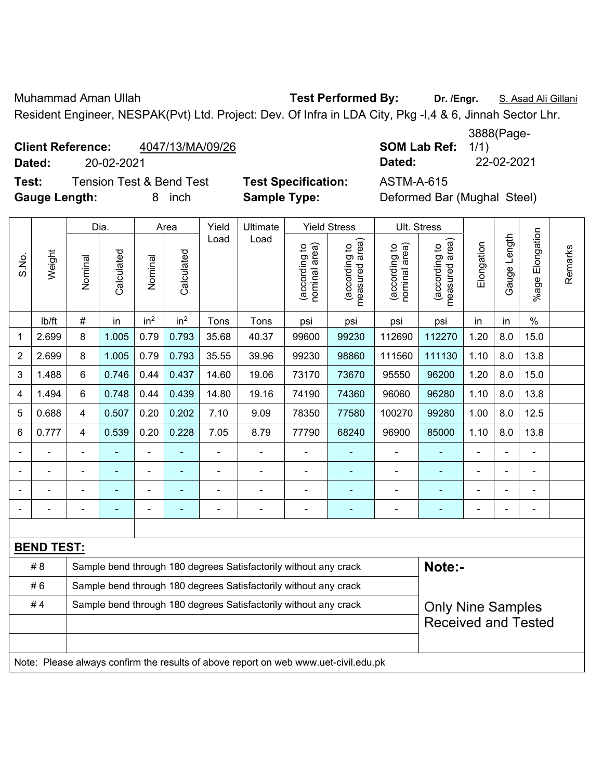Muhammad Aman Ullah **Test Performed By: Dr. /Engr.** S. Asad Ali Gillani Resident Engineer, NESPAK(Pvt) Ltd. Project: Dev. Of Infra in LDA City, Pkg -I,4 & 6, Jinnah Sector Lhr.

## **Client Reference:**  $4047/13/MA/09/26$

**SOM Lab Ref: 1/1) Dated:** 20-02-2021 **Dated:** 22-02-2021

**Test:** Tension Test & Bend Test **Test Specification:** ASTM-A-615 **Gauge Length:** 8 inch **Sample Type:** Deformed Bar (Mughal Steel)

|                |                                                                                     | Dia.           | Area       | Yield           | <b>Ultimate</b> |       | <b>Yield Stress</b>                                              |                                | Ult. Stress                                 |                                |                                 |                |              |                    |         |
|----------------|-------------------------------------------------------------------------------------|----------------|------------|-----------------|-----------------|-------|------------------------------------------------------------------|--------------------------------|---------------------------------------------|--------------------------------|---------------------------------|----------------|--------------|--------------------|---------|
| S.No.          | Weight                                                                              | Nominal        | Calculated | Nominal         | Calculated      | Load  | Load                                                             | (according to<br>nominal area) | (according to<br>neasured area)<br>measured | nominal area)<br>(according to | (according to<br>measured area) | Elongation     | Gauge Length | Elongation<br>%age | Remarks |
|                | lb/ft                                                                               | $\#$           | in         | in <sup>2</sup> | in <sup>2</sup> | Tons  | Tons                                                             | psi                            | psi                                         | psi                            | psi                             | in             | in           | $\frac{0}{0}$      |         |
| 1              | 2.699                                                                               | 8              | 1.005      | 0.79            | 0.793           | 35.68 | 40.37                                                            | 99600                          | 99230                                       | 112690                         | 112270                          | 1.20           | 8.0          | 15.0               |         |
| $\overline{2}$ | 2.699                                                                               | 8              | 1.005      | 0.79            | 0.793           | 35.55 | 39.96                                                            | 99230                          | 98860                                       | 111560                         | 111130                          | 1.10           | 8.0          | 13.8               |         |
| 3              | 1.488                                                                               | 6              | 0.746      | 0.44            | 0.437           | 14.60 | 19.06                                                            | 73170                          | 73670                                       | 95550                          | 96200                           | 1.20           | 8.0          | 15.0               |         |
| 4              | 1.494                                                                               | 6              | 0.748      | 0.44            | 0.439           | 14.80 | 19.16                                                            | 74190                          | 74360                                       | 96060                          | 96280                           | 1.10           | 8.0          | 13.8               |         |
| 5              | 0.688                                                                               | $\overline{4}$ | 0.507      | 0.20            | 0.202           | 7.10  | 9.09                                                             | 78350                          | 77580                                       | 100270                         | 99280                           | 1.00           | 8.0          | 12.5               |         |
| 6              | 0.777                                                                               | $\overline{4}$ | 0.539      | 0.20            | 0.228           | 7.05  | 8.79                                                             | 77790                          | 68240                                       | 96900                          | 85000                           | 1.10           | 8.0          | 13.8               |         |
|                |                                                                                     |                | ÷          | ÷,              |                 | ä,    | $\overline{a}$                                                   |                                |                                             | ÷                              | $\blacksquare$                  | $\overline{a}$ |              | ÷,                 |         |
|                |                                                                                     |                |            | $\blacksquare$  |                 | ÷     | ä,                                                               |                                |                                             |                                |                                 |                |              | $\blacksquare$     |         |
|                |                                                                                     |                |            | $\blacksquare$  |                 |       | $\blacksquare$                                                   |                                |                                             |                                |                                 |                |              | $\overline{a}$     |         |
|                |                                                                                     |                |            | ÷,              | ٠               | ÷     | -                                                                | $\overline{a}$                 | ٠                                           | $\blacksquare$                 | ۰                               | ۰              |              | ÷,                 |         |
|                |                                                                                     |                |            |                 |                 |       |                                                                  |                                |                                             |                                |                                 |                |              |                    |         |
|                | <b>BEND TEST:</b>                                                                   |                |            |                 |                 |       |                                                                  |                                |                                             |                                |                                 |                |              |                    |         |
|                | # 8                                                                                 |                |            |                 |                 |       | Sample bend through 180 degrees Satisfactorily without any crack |                                |                                             |                                | Note:-                          |                |              |                    |         |
|                | #6                                                                                  |                |            |                 |                 |       | Sample bend through 180 degrees Satisfactorily without any crack |                                |                                             |                                |                                 |                |              |                    |         |
|                | #4                                                                                  |                |            |                 |                 |       | Sample bend through 180 degrees Satisfactorily without any crack |                                |                                             |                                | <b>Only Nine Samples</b>        |                |              |                    |         |
|                |                                                                                     |                |            |                 |                 |       |                                                                  |                                |                                             |                                | <b>Received and Tested</b>      |                |              |                    |         |
|                |                                                                                     |                |            |                 |                 |       |                                                                  |                                |                                             |                                |                                 |                |              |                    |         |
|                | Note: Please always confirm the results of above report on web www.uet-civil.edu.pk |                |            |                 |                 |       |                                                                  |                                |                                             |                                |                                 |                |              |                    |         |

## 3888(Page-